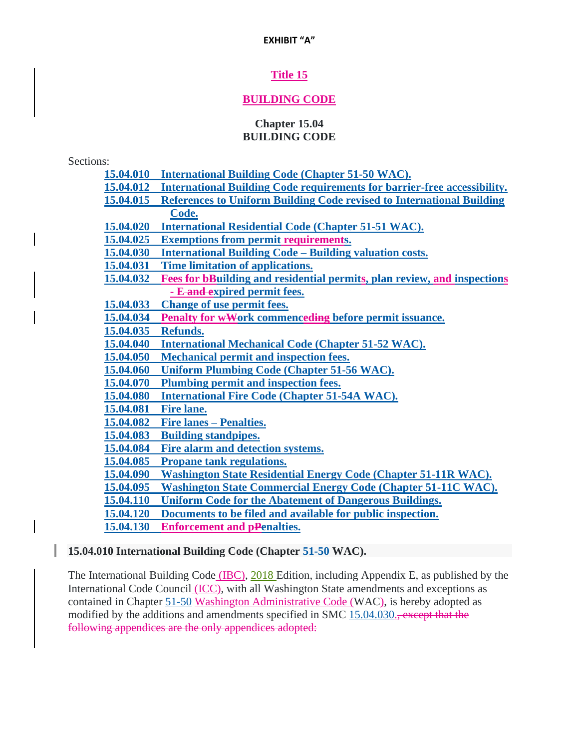# **Title 15**

# **BUILDING CODE**

#### **Chapter 15.04 BUILDING CODE**

Sections:

- **[15.04.010 International Building Code \(Chapter 51-50 WAC\).](https://www.codepublishing.com/WA/Sequim/#!/Sequim15/Sequim1504.html#15.04.010)**
- **[15.04.012 International Building Code requirements for barrier-free accessibility.](https://www.codepublishing.com/WA/Sequim/#!/Sequim15/Sequim1504.html#15.04.012)**
- **[15.04.015 References to Uniform Building Code revised to International Building](https://www.codepublishing.com/WA/Sequim/#!/Sequim15/Sequim1504.html#15.04.015)**

**[Code.](https://www.codepublishing.com/WA/Sequim/#!/Sequim15/Sequim1504.html#15.04.015)**

**[15.04.020 International Residential Code \(Chapter 51-51 WAC\).](https://www.codepublishing.com/WA/Sequim/#!/Sequim15/Sequim1504.html#15.04.020)**

- **[15.04.025 Exemptions from permit](https://www.codepublishing.com/WA/Sequim/#!/Sequim15/Sequim1504.html#15.04.025) requirements.**
- **[15.04.030 International Building Code –](https://www.codepublishing.com/WA/Sequim/#!/Sequim15/Sequim1504.html#15.04.030) Building valuation costs.**
- **[15.04.031 Time limitation of applications.](https://www.codepublishing.com/WA/Sequim/#!/Sequim15/Sequim1504.html#15.04.031)**
- **[15.04.032 Fees for bBuilding and residential permits, plan review, and inspections](https://www.codepublishing.com/WA/Sequim/#!/Sequim15/Sequim1504.html#15.04.032)**
- **- E [and expired permit fees.](https://www.codepublishing.com/WA/Sequim/#!/Sequim15/Sequim1504.html#15.04.032)**
- **[15.04.033 Change of use permit fees.](https://www.codepublishing.com/WA/Sequim/#!/Sequim15/Sequim1504.html#15.04.033)**
- **[15.04.034 Penalty for wWork commenceding](https://www.codepublishing.com/WA/Sequim/#!/Sequim15/Sequim1504.html#15.04.034) before permit issuance.**

**[15.04.035 Refunds.](https://www.codepublishing.com/WA/Sequim/#!/Sequim15/Sequim1504.html#15.04.035)**

**[15.04.040 International Mechanical Code \(Chapter 51-52 WAC\).](https://www.codepublishing.com/WA/Sequim/#!/Sequim15/Sequim1504.html#15.04.040)**

**[15.04.050 Mechanical permit and inspection fees.](https://www.codepublishing.com/WA/Sequim/#!/Sequim15/Sequim1504.html#15.04.050)**

**[15.04.060 Uniform Plumbing Code \(Chapter 51-56 WAC\).](https://www.codepublishing.com/WA/Sequim/#!/Sequim15/Sequim1504.html#15.04.060)**

**[15.04.070 Plumbing permit and inspection fees.](https://www.codepublishing.com/WA/Sequim/#!/Sequim15/Sequim1504.html#15.04.070)**

**[15.04.080 International Fire Code \(Chapter 51-54A WAC\).](https://www.codepublishing.com/WA/Sequim/#!/Sequim15/Sequim1504.html#15.04.080)**

**[15.04.081 Fire lane.](https://www.codepublishing.com/WA/Sequim/#!/Sequim15/Sequim1504.html#15.04.081)**

**[15.04.082 Fire lanes –](https://www.codepublishing.com/WA/Sequim/#!/Sequim15/Sequim1504.html#15.04.082) Penalties.**

- **[15.04.083 Building standpipes.](https://www.codepublishing.com/WA/Sequim/#!/Sequim15/Sequim1504.html#15.04.083)**
- **[15.04.084 Fire alarm and detection systems.](https://www.codepublishing.com/WA/Sequim/#!/Sequim15/Sequim1504.html#15.04.084)**
- **[15.04.085 Propane tank regulations.](https://www.codepublishing.com/WA/Sequim/#!/Sequim15/Sequim1504.html#15.04.085)**
- **[15.04.090 Washington State Residential Energy Code \(Chapter 51-11R WAC\).](https://www.codepublishing.com/WA/Sequim/#!/Sequim15/Sequim1504.html#15.04.090)**
- **[15.04.095 Washington State Commercial Energy Code \(Chapter 51-11C WAC\).](https://www.codepublishing.com/WA/Sequim/#!/Sequim15/Sequim1504.html#15.04.095)**

**[15.04.110 Uniform Code for the Abatement of Dangerous Buildings.](https://www.codepublishing.com/WA/Sequim/#!/Sequim15/Sequim1504.html#15.04.110)**

**[15.04.120 Documents to be filed and available for public inspection.](https://www.codepublishing.com/WA/Sequim/#!/Sequim15/Sequim1504.html#15.04.120)**

**[15.04.130 Enforcement and pPenalties.](https://www.codepublishing.com/WA/Sequim/#!/Sequim15/Sequim1504.html#15.04.130)**

## **15.04.010 International Building Code (Chapter [51-50](https://www.codepublishing.com/cgi-bin/wac.pl?cite=51-50) WAC).**

The International Building Code (IBC), 2018 Edition, including Appendix E, as published by the International Code Council (ICC), with all Washington State amendments and exceptions as contained in Chapter [51-50](https://www.codepublishing.com/cgi-bin/wac.pl?cite=51-50) Washington Administrative Code (WAC), is hereby adopted as modified by the additions and amendments specified in SMC [15.04.030.](https://www.codepublishing.com/WA/Sequim/#!/Sequim15/Sequim1504.html#15.04.030), except that the following appendices are the only appendices adopted: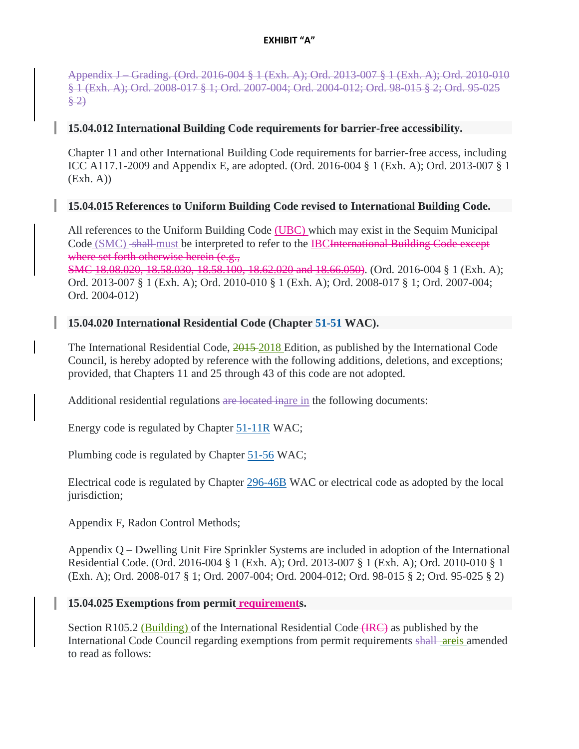Appendix J – Grading. (Ord. 2016-004 § 1 (Exh. A); Ord. 2013-007 § 1 (Exh. A); Ord. 2010-010 § 1 (Exh. A); Ord. 2008-017 § 1; Ord. 2007-004; Ord. 2004-012; Ord. 98-015 § 2; Ord. 95-025  $\frac{8}{2}$ 

## **15.04.012 International Building Code requirements for barrier-free accessibility.**

Chapter 11 and other International Building Code requirements for barrier-free access, including ICC A117.1-2009 and Appendix E, are adopted. (Ord. 2016-004 § 1 (Exh. A); Ord. 2013-007 § 1  $(Exh. A)$ 

## **15.04.015 References to Uniform Building Code revised to International Building Code.**

All references to the Uniform Building Code (UBC) which may exist in the Sequim Municipal Code (SMC) shall must be interpreted to refer to the IBCI international Building Code except where set forth otherwise herein (e.g., SMC 18.08.020, 18.58.030, 18.58.100, 18.62.020 and 18.66.050). (Ord. 2016-004 § 1 (Exh. A); Ord. 2013-007 § 1 (Exh. A); Ord. 2010-010 § 1 (Exh. A); Ord. 2008-017 § 1; Ord. 2007-004;

Ord. 2004-012)

## **15.04.020 International Residential Code (Chapter [51-51](https://www.codepublishing.com/cgi-bin/wac.pl?cite=51-51) WAC).**

The International Residential Code,  $\frac{2015-2018}{2016}$  Edition, as published by the International Code Council, is hereby adopted by reference with the following additions, deletions, and exceptions; provided, that Chapters 11 and 25 through 43 of this code are not adopted.

Additional residential regulations are located inare in the following documents:

Energy code is regulated by Chapter [51-11R](https://www.codepublishing.com/cgi-bin/wac.pl?cite=51-11R) WAC;

Plumbing code is regulated by Chapter [51-56](https://www.codepublishing.com/cgi-bin/wac.pl?cite=51-56) WAC;

Electrical code is regulated by Chapter [296-46B](https://www.codepublishing.com/cgi-bin/wac.pl?cite=296-46B) WAC or electrical code as adopted by the local jurisdiction;

Appendix F, Radon Control Methods;

Appendix Q – Dwelling Unit Fire Sprinkler Systems are included in adoption of the International Residential Code. (Ord. 2016-004 § 1 (Exh. A); Ord. 2013-007 § 1 (Exh. A); Ord. 2010-010 § 1 (Exh. A); Ord. 2008-017 § 1; Ord. 2007-004; Ord. 2004-012; Ord. 98-015 § 2; Ord. 95-025 § 2)

## **15.04.025 Exemptions from permit requirements.**

Section R105.2 (Building) of the International Residential Code  $(HRC)$  as published by the International Code Council regarding exemptions from permit requirements shall areis amended to read as follows: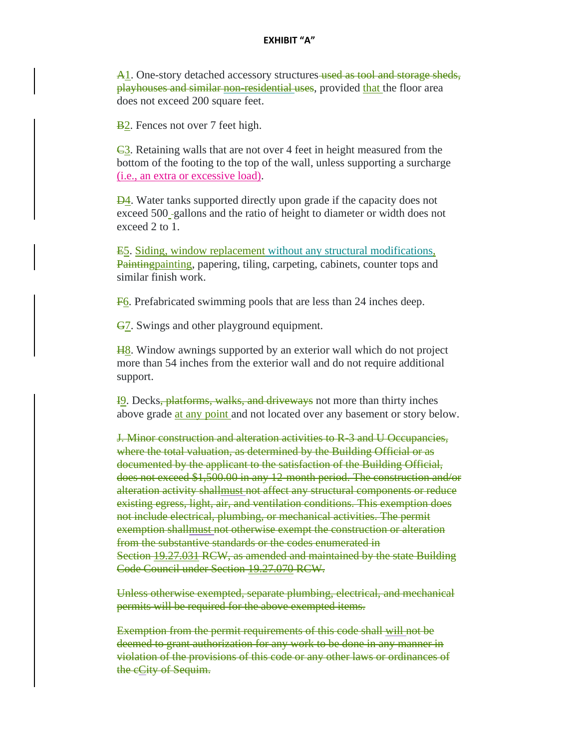A<sub>1</sub>. One-story detached accessory structures used as tool and storage sheds, playhouses and similar non-residential uses, provided that the floor area does not exceed 200 square feet.

B<sub>2</sub>. Fences not over 7 feet high.

 $\overline{e3}$ . Retaining walls that are not over 4 feet in height measured from the bottom of the footing to the top of the wall, unless supporting a surcharge (i.e., an extra or excessive load).

**D4**. Water tanks supported directly upon grade if the capacity does not exceed 500 gallons and the ratio of height to diameter or width does not exceed 2 to 1.

E5. Siding, window replacement without any structural modifications, Paintingpainting, papering, tiling, carpeting, cabinets, counter tops and similar finish work.

F6. Prefabricated swimming pools that are less than 24 inches deep.

**G7.** Swings and other playground equipment.

H8. Window awnings supported by an exterior wall which do not project more than 54 inches from the exterior wall and do not require additional support.

I9. Decks, platforms, walks, and driveways not more than thirty inches above grade at any point and not located over any basement or story below.

J. Minor construction and alteration activities to R-3 and U Occupancies, where the total valuation, as determined by the Building Official or as documented by the applicant to the satisfaction of the Building Official, does not exceed \$1,500.00 in any 12-month period. The construction and/or alteration activity shallmust not affect any structural components or reduce existing egress, light, air, and ventilation conditions. This exemption does not include electrical, plumbing, or mechanical activities. The permit exemption shallmust not otherwise exempt the construction or alteration from the substantive standards or the codes enumerated in Section 19.27.031 RCW, as amended and maintained by the state Building Code Council under Section 19.27.070 RCW.

Unless otherwise exempted, separate plumbing, electrical, and mechanical permits will be required for the above exempted items.

Exemption from the permit requirements of this code shall will not be deemed to grant authorization for any work to be done in any manner in violation of the provisions of this code or any other laws or ordinances of the eCity of Sequim.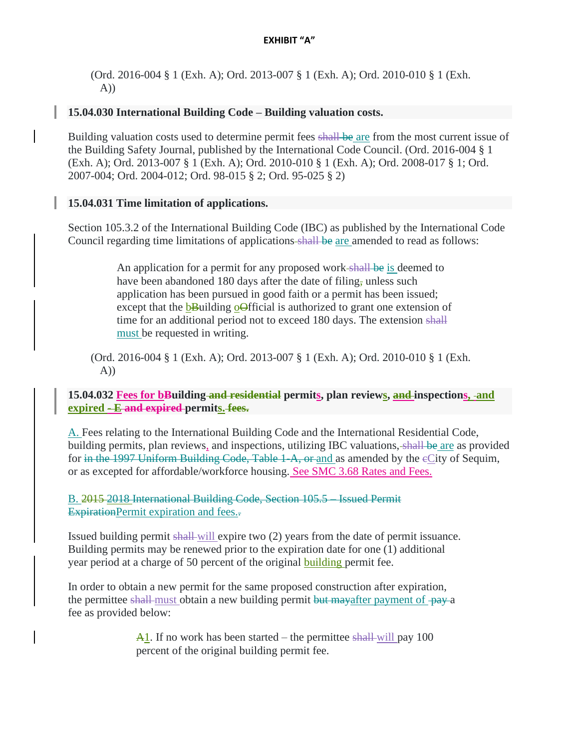(Ord. 2016-004 § 1 (Exh. A); Ord. 2013-007 § 1 (Exh. A); Ord. 2010-010 § 1 (Exh. A))

## **15.04.030 International Building Code – Building valuation costs.**

Building valuation costs used to determine permit fees shall be are from the most current issue of the Building Safety Journal, published by the International Code Council. (Ord. 2016-004 § 1 (Exh. A); Ord. 2013-007 § 1 (Exh. A); Ord. 2010-010 § 1 (Exh. A); Ord. 2008-017 § 1; Ord. 2007-004; Ord. 2004-012; Ord. 98-015 § 2; Ord. 95-025 § 2)

## **15.04.031 Time limitation of applications.**

Section 105.3.2 of the International Building Code (IBC) as published by the International Code Council regarding time limitations of applications shall be are amended to read as follows:

> An application for a permit for any proposed work-shall be is deemed to have been abandoned 180 days after the date of filing, unless such application has been pursued in good faith or a permit has been issued; except that the **bBuilding oOfficial** is authorized to grant one extension of time for an additional period not to exceed 180 days. The extension shall must be requested in writing.

(Ord. 2016-004 § 1 (Exh. A); Ord. 2013-007 § 1 (Exh. A); Ord. 2010-010 § 1 (Exh. A))

**15.04.032 Fees for bBuilding and residential permits, plan reviews, and inspections, and expired - E and expired permits. fees.**

A. Fees relating to the International Building Code and the International Residential Code, building permits, plan reviews, and inspections, utilizing IBC valuations, shall be are as provided for in the 1997 Uniform Building Code, Table 1-A, or and as amended by the cCity of Sequim, or as excepted for affordable/workforce housing. See SMC 3.68 Rates and Fees.

B. 2015 2018 International Building Code, Section 105.5 – Issued Permit ExpirationPermit expiration and fees...

Issued building permit shall will expire two (2) years from the date of permit issuance. Building permits may be renewed prior to the expiration date for one (1) additional year period at a charge of 50 percent of the original building permit fee.

In order to obtain a new permit for the same proposed construction after expiration, the permittee shall-must obtain a new building permit but may after payment of -pay-a fee as provided below:

> $\overline{A1}$ . If no work has been started – the permittee shall-will pay 100 percent of the original building permit fee.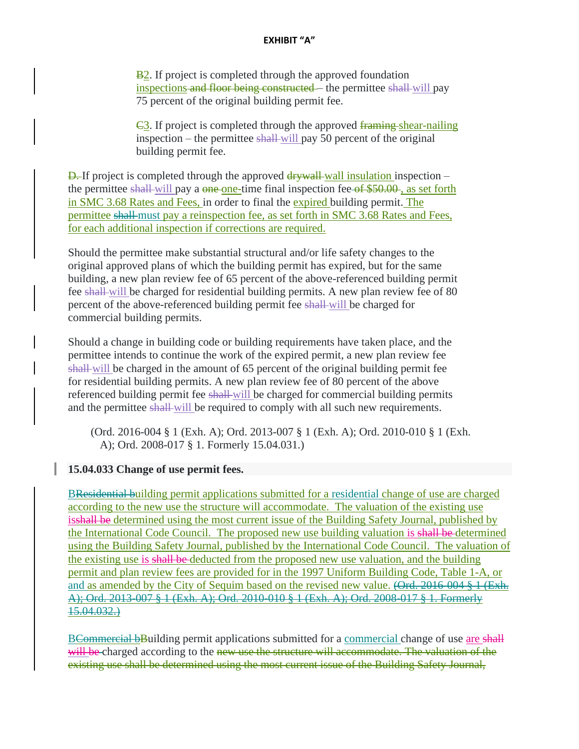B<sub>2</sub>. If project is completed through the approved foundation inspections and floor being constructed – the permittee shall-will pay 75 percent of the original building permit fee.

C3. If project is completed through the approved framing shear-nailing inspection – the permittee shall-will pay 50 percent of the original building permit fee.

 $\overline{D}$ . If project is completed through the approved  $\frac{d$ rywall insulation inspection – the permittee shall-will pay a one-one-time final inspection fee of \$50.00, as set forth in SMC 3.68 Rates and Fees, in order to final the expired building permit. The permittee shall must pay a reinspection fee, as set forth in SMC 3.68 Rates and Fees, for each additional inspection if corrections are required.

Should the permittee make substantial structural and/or life safety changes to the original approved plans of which the building permit has expired, but for the same building, a new plan review fee of 65 percent of the above-referenced building permit fee shall will be charged for residential building permits. A new plan review fee of 80 percent of the above-referenced building permit fee shall-will be charged for commercial building permits.

Should a change in building code or building requirements have taken place, and the permittee intends to continue the work of the expired permit, a new plan review fee shall will be charged in the amount of 65 percent of the original building permit fee for residential building permits. A new plan review fee of 80 percent of the above referenced building permit fee shall-will be charged for commercial building permits and the permittee shall-will be required to comply with all such new requirements.

(Ord. 2016-004 § 1 (Exh. A); Ord. 2013-007 § 1 (Exh. A); Ord. 2010-010 § 1 (Exh. A); Ord. 2008-017 § 1. Formerly 15.04.031.)

**15.04.033 Change of use permit fees.**

BResidential building permit applications submitted for a residential change of use are charged according to the new use the structure will accommodate. The valuation of the existing use isshall be determined using the most current issue of the Building Safety Journal, published by the International Code Council. The proposed new use building valuation is shall be determined using the Building Safety Journal, published by the International Code Council. The valuation of the existing use is shall be deducted from the proposed new use valuation, and the building permit and plan review fees are provided for in the 1997 Uniform Building Code, Table 1-A, or and as amended by the City of Sequim based on the revised new value. (Ord. 2016-004 § 1 (Exh. A); Ord. 2013-007 § 1 (Exh. A); Ord. 2010-010 § 1 (Exh. A); Ord. 2008-017 § 1. Formerly 15.04.032.)

BCommercial bBuilding permit applications submitted for a commercial change of use are shall will be charged according to the new use the structure will accommodate. The valuation of the existing use shall be determined using the most current issue of the Building Safety Journal,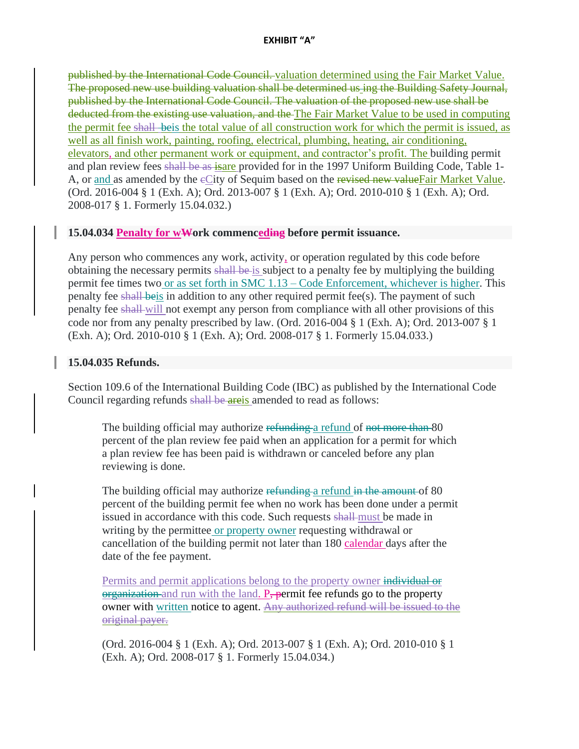published by the International Code Council. valuation determined using the Fair Market Value. The proposed new use building valuation shall be determined us ing the Building Safety Journal, published by the International Code Council. The valuation of the proposed new use shall be deducted from the existing use valuation, and the The Fair Market Value to be used in computing the permit fee shall beis the total value of all construction work for which the permit is issued, as well as all finish work, painting, roofing, electrical, plumbing, heating, air conditioning, elevators, and other permanent work or equipment, and contractor's profit. The building permit and plan review fees shall be as isare provided for in the 1997 Uniform Building Code, Table 1- A, or and as amended by the eCity of Sequim based on the revised new valueFair Market Value. (Ord. 2016-004 § 1 (Exh. A); Ord. 2013-007 § 1 (Exh. A); Ord. 2010-010 § 1 (Exh. A); Ord. 2008-017 § 1. Formerly 15.04.032.)

### **15.04.034 Penalty for wWork commenceding before permit issuance.**

Any person who commences any work, activity, or operation regulated by this code before obtaining the necessary permits shall be is subject to a penalty fee by multiplying the building permit fee times two or as set forth in SMC 1.13 – Code Enforcement, whichever is higher. This penalty fee shall beis in addition to any other required permit fee(s). The payment of such penalty fee shall will not exempt any person from compliance with all other provisions of this code nor from any penalty prescribed by law. (Ord. 2016-004 § 1 (Exh. A); Ord. 2013-007 § 1 (Exh. A); Ord. 2010-010 § 1 (Exh. A); Ord. 2008-017 § 1. Formerly 15.04.033.)

### **15.04.035 Refunds.**

Section 109.6 of the International Building Code (IBC) as published by the International Code Council regarding refunds shall be areis amended to read as follows:

The building official may authorize refunding a refund of not more than 80 percent of the plan review fee paid when an application for a permit for which a plan review fee has been paid is withdrawn or canceled before any plan reviewing is done.

The building official may authorize refunding a refund in the amount of 80 percent of the building permit fee when no work has been done under a permit issued in accordance with this code. Such requests shall-must be made in writing by the permittee or property owner requesting withdrawal or cancellation of the building permit not later than 180 calendar days after the date of the fee payment.

Permits and permit applications belong to the property owner individual or organization and run with the land. P<sub>r</sub> permit fee refunds go to the property owner with written notice to agent. Any authorized refund will be issued to the original payer.

(Ord. 2016-004 § 1 (Exh. A); Ord. 2013-007 § 1 (Exh. A); Ord. 2010-010 § 1 (Exh. A); Ord. 2008-017 § 1. Formerly 15.04.034.)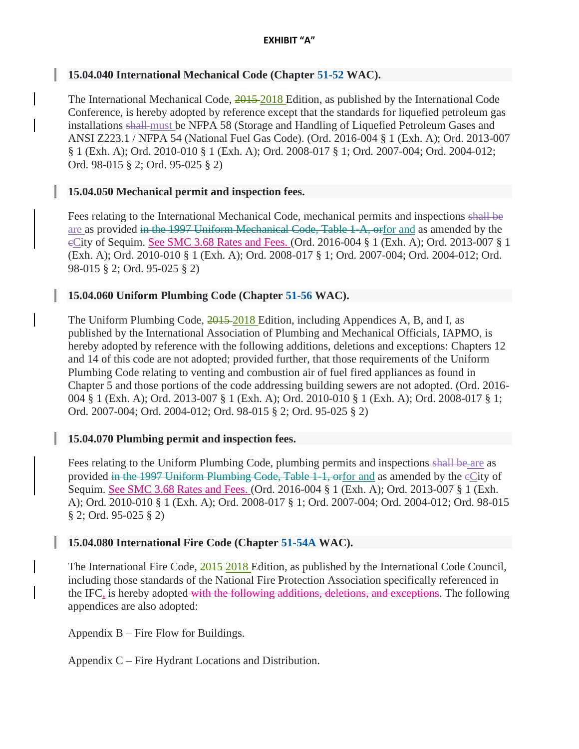## **15.04.040 International Mechanical Code (Chapter [51-52](https://www.codepublishing.com/cgi-bin/wac.pl?cite=51-52) WAC).**

The International Mechanical Code, 2015-2018 Edition, as published by the International Code Conference, is hereby adopted by reference except that the standards for liquefied petroleum gas installations shall must be NFPA 58 (Storage and Handling of Liquefied Petroleum Gases and ANSI Z223.1 / NFPA 54 (National Fuel Gas Code). (Ord. 2016-004 § 1 (Exh. A); Ord. 2013-007 § 1 (Exh. A); Ord. 2010-010 § 1 (Exh. A); Ord. 2008-017 § 1; Ord. 2007-004; Ord. 2004-012; Ord. 98-015 § 2; Ord. 95-025 § 2)

## **15.04.050 Mechanical permit and inspection fees.**

Fees relating to the International Mechanical Code, mechanical permits and inspections shall be are as provided in the 1997 Uniform Mechanical Code, Table 1-A, orfor and as amended by the cCity of Sequim. See SMC 3.68 Rates and Fees. (Ord. 2016-004 § 1 (Exh. A); Ord. 2013-007 § 1 (Exh. A); Ord. 2010-010 § 1 (Exh. A); Ord. 2008-017 § 1; Ord. 2007-004; Ord. 2004-012; Ord. 98-015 § 2; Ord. 95-025 § 2)

## **15.04.060 Uniform Plumbing Code (Chapter [51-56](https://www.codepublishing.com/cgi-bin/wac.pl?cite=51-56) WAC).**

The Uniform Plumbing Code,  $\frac{2015}{2018}$  Edition, including Appendices A, B, and I, as published by the International Association of Plumbing and Mechanical Officials, IAPMO, is hereby adopted by reference with the following additions, deletions and exceptions: Chapters 12 and 14 of this code are not adopted; provided further, that those requirements of the Uniform Plumbing Code relating to venting and combustion air of fuel fired appliances as found in Chapter 5 and those portions of the code addressing building sewers are not adopted. (Ord. 2016- 004 § 1 (Exh. A); Ord. 2013-007 § 1 (Exh. A); Ord. 2010-010 § 1 (Exh. A); Ord. 2008-017 § 1; Ord. 2007-004; Ord. 2004-012; Ord. 98-015 § 2; Ord. 95-025 § 2)

## **15.04.070 Plumbing permit and inspection fees.**

Fees relating to the Uniform Plumbing Code, plumbing permits and inspections shall be are as provided in the 1997 Uniform Plumbing Code, Table 1-1, orfor and as amended by the cCity of Sequim. See SMC 3.68 Rates and Fees. (Ord. 2016-004 § 1 (Exh. A); Ord. 2013-007 § 1 (Exh. A); Ord. 2010-010 § 1 (Exh. A); Ord. 2008-017 § 1; Ord. 2007-004; Ord. 2004-012; Ord. 98-015 § 2; Ord. 95-025 § 2)

## **15.04.080 International Fire Code (Chapter [51-54A](https://www.codepublishing.com/cgi-bin/wac.pl?cite=51-54A) WAC).**

The International Fire Code, 2015 2018 Edition, as published by the International Code Council, including those standards of the National Fire Protection Association specifically referenced in the IFC, is hereby adopted with the following additions, deletions, and exceptions. The following appendices are also adopted:

Appendix B – Fire Flow for Buildings.

Appendix C – Fire Hydrant Locations and Distribution.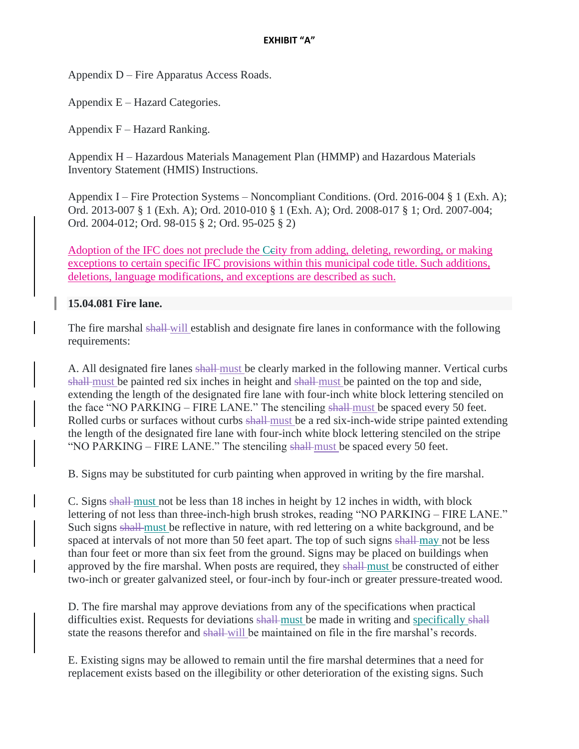Appendix D – Fire Apparatus Access Roads.

Appendix E – Hazard Categories.

Appendix F – Hazard Ranking.

Appendix H – Hazardous Materials Management Plan (HMMP) and Hazardous Materials Inventory Statement (HMIS) Instructions.

Appendix I – Fire Protection Systems – Noncompliant Conditions. (Ord. 2016-004 § 1 (Exh. A); Ord. 2013-007 § 1 (Exh. A); Ord. 2010-010 § 1 (Exh. A); Ord. 2008-017 § 1; Ord. 2007-004; Ord. 2004-012; Ord. 98-015 § 2; Ord. 95-025 § 2)

Adoption of the IFC does not preclude the Ccity from adding, deleting, rewording, or making exceptions to certain specific IFC provisions within this municipal code title. Such additions, deletions, language modifications, and exceptions are described as such.

## **15.04.081 Fire lane.**

The fire marshal shall will establish and designate fire lanes in conformance with the following requirements:

A. All designated fire lanes shall-must be clearly marked in the following manner. Vertical curbs shall must be painted red six inches in height and shall must be painted on the top and side, extending the length of the designated fire lane with four-inch white block lettering stenciled on the face "NO PARKING – FIRE LANE." The stenciling shall must be spaced every 50 feet. Rolled curbs or surfaces without curbs shall-must be a red six-inch-wide stripe painted extending the length of the designated fire lane with four-inch white block lettering stenciled on the stripe "NO PARKING – FIRE LANE." The stenciling shall-must be spaced every 50 feet.

B. Signs may be substituted for curb painting when approved in writing by the fire marshal.

C. Signs shall must not be less than 18 inches in height by 12 inches in width, with block lettering of not less than three-inch-high brush strokes, reading "NO PARKING – FIRE LANE." Such signs shall must be reflective in nature, with red lettering on a white background, and be spaced at intervals of not more than 50 feet apart. The top of such signs shall may not be less than four feet or more than six feet from the ground. Signs may be placed on buildings when approved by the fire marshal. When posts are required, they shall must be constructed of either two-inch or greater galvanized steel, or four-inch by four-inch or greater pressure-treated wood.

D. The fire marshal may approve deviations from any of the specifications when practical difficulties exist. Requests for deviations shall must be made in writing and specifically shall state the reasons therefor and shall-will be maintained on file in the fire marshal's records.

E. Existing signs may be allowed to remain until the fire marshal determines that a need for replacement exists based on the illegibility or other deterioration of the existing signs. Such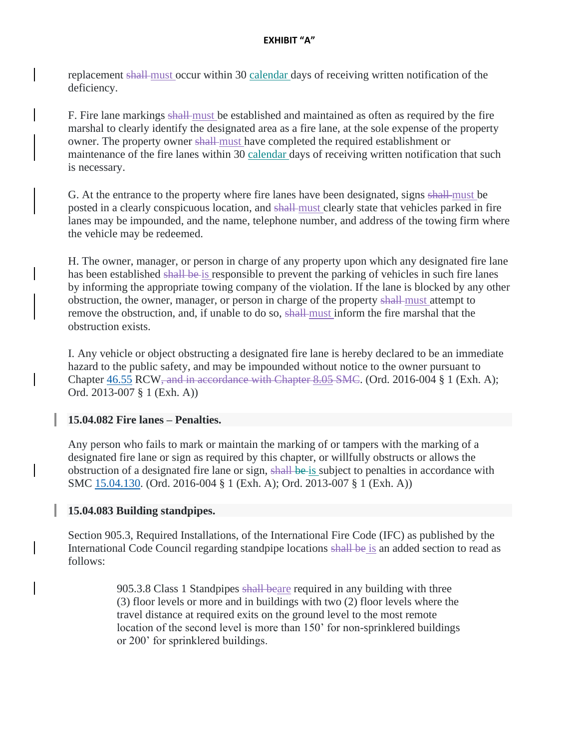replacement shall must occur within 30 calendar days of receiving written notification of the deficiency.

F. Fire lane markings shall must be established and maintained as often as required by the fire marshal to clearly identify the designated area as a fire lane, at the sole expense of the property owner. The property owner shall must have completed the required establishment or maintenance of the fire lanes within 30 calendar days of receiving written notification that such is necessary.

G. At the entrance to the property where fire lanes have been designated, signs shall must be posted in a clearly conspicuous location, and shall must clearly state that vehicles parked in fire lanes may be impounded, and the name, telephone number, and address of the towing firm where the vehicle may be redeemed.

H. The owner, manager, or person in charge of any property upon which any designated fire lane has been established shall be is responsible to prevent the parking of vehicles in such fire lanes by informing the appropriate towing company of the violation. If the lane is blocked by any other obstruction, the owner, manager, or person in charge of the property shall must attempt to remove the obstruction, and, if unable to do so, shall must inform the fire marshal that the obstruction exists.

I. Any vehicle or object obstructing a designated fire lane is hereby declared to be an immediate hazard to the public safety, and may be impounded without notice to the owner pursuant to Chapter [46.55](https://www.codepublishing.com/cgi-bin/rcw.pl?cite=46.55) RCW, and in accordance with Chapter 8.05 SMC. (Ord. 2016-004 § 1 (Exh. A); Ord. 2013-007 § 1 (Exh. A))

# **15.04.082 Fire lanes – Penalties.**

Any person who fails to mark or maintain the marking of or tampers with the marking of a designated fire lane or sign as required by this chapter, or willfully obstructs or allows the obstruction of a designated fire lane or sign, shall be is subject to penalties in accordance with SMC [15.04.130.](https://www.codepublishing.com/WA/Sequim/#!/Sequim15/Sequim1504.html#15.04.130) (Ord. 2016-004 § 1 (Exh. A); Ord. 2013-007 § 1 (Exh. A))

# **15.04.083 Building standpipes.**

Section 905.3, Required Installations, of the International Fire Code (IFC) as published by the International Code Council regarding standpipe locations shall be is an added section to read as follows:

> 905.3.8 Class 1 Standpipes shall beare required in any building with three (3) floor levels or more and in buildings with two (2) floor levels where the travel distance at required exits on the ground level to the most remote location of the second level is more than 150' for non-sprinklered buildings or 200' for sprinklered buildings.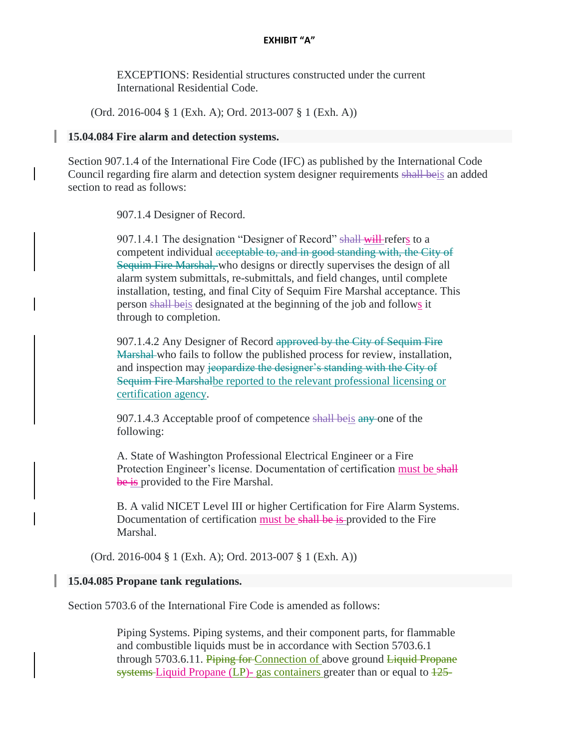EXCEPTIONS: Residential structures constructed under the current International Residential Code.

(Ord. 2016-004 § 1 (Exh. A); Ord. 2013-007 § 1 (Exh. A))

#### **15.04.084 Fire alarm and detection systems.**

Section 907.1.4 of the International Fire Code (IFC) as published by the International Code Council regarding fire alarm and detection system designer requirements shall beis an added section to read as follows:

907.1.4 Designer of Record.

907.1.4.1 The designation "Designer of Record" shall will refers to a competent individual acceptable to, and in good standing with, the City of Sequim Fire Marshal, who designs or directly supervises the design of all alarm system submittals, re-submittals, and field changes, until complete installation, testing, and final City of Sequim Fire Marshal acceptance. This person shall beis designated at the beginning of the job and follows it through to completion.

907.1.4.2 Any Designer of Record approved by the City of Sequim Fire Marshal who fails to follow the published process for review, installation, and inspection may jeopardize the designer's standing with the City of Sequim Fire Marshalbe reported to the relevant professional licensing or certification agency.

907.1.4.3 Acceptable proof of competence shall beis any one of the following:

A. State of Washington Professional Electrical Engineer or a Fire Protection Engineer's license. Documentation of certification must be shall be is provided to the Fire Marshal.

B. A valid NICET Level III or higher Certification for Fire Alarm Systems. Documentation of certification must be shall be is provided to the Fire Marshal.

(Ord. 2016-004 § 1 (Exh. A); Ord. 2013-007 § 1 (Exh. A))

#### **15.04.085 Propane tank regulations.**

Section 5703.6 of the International Fire Code is amended as follows:

Piping Systems. Piping systems, and their component parts, for flammable and combustible liquids must be in accordance with Section 5703.6.1 through 5703.6.11. Piping for Connection of above ground Liquid Propane systems Liquid Propane  $(LP)$ - gas containers greater than or equal to  $\frac{125}{125}$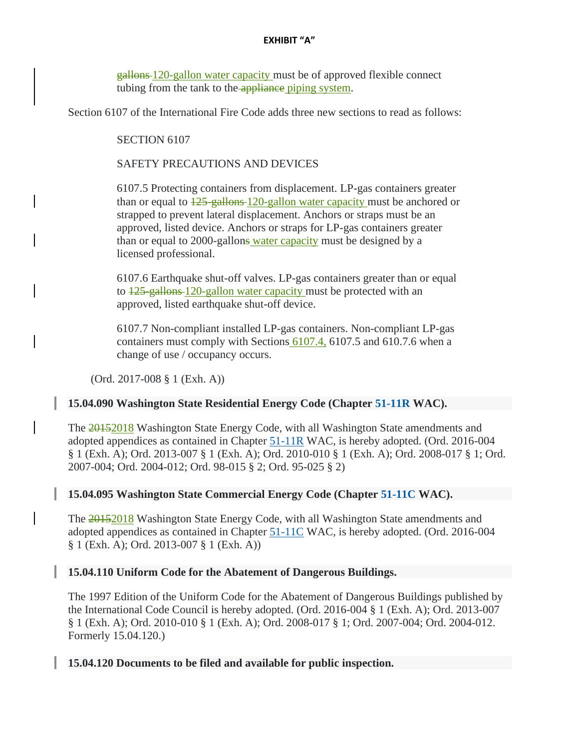gallons 120-gallon water capacity must be of approved flexible connect tubing from the tank to the appliance piping system.

Section 6107 of the International Fire Code adds three new sections to read as follows:

SECTION 6107

SAFETY PRECAUTIONS AND DEVICES

6107.5 Protecting containers from displacement. LP-gas containers greater than or equal to  $\frac{125 - \text{gallons}}{120 - \text{gallon water capacity}}$  must be anchored or strapped to prevent lateral displacement. Anchors or straps must be an approved, listed device. Anchors or straps for LP-gas containers greater than or equal to 2000-gallons water capacity must be designed by a licensed professional.

6107.6 Earthquake shut-off valves. LP-gas containers greater than or equal to  $\frac{125}{25}$  gallons 120-gallon water capacity must be protected with an approved, listed earthquake shut-off device.

6107.7 Non-compliant installed LP-gas containers. Non-compliant LP-gas containers must comply with Sections 6107.4, 6107.5 and 610.7.6 when a change of use / occupancy occurs.

(Ord. 2017-008 § 1 (Exh. A))

### **15.04.090 Washington State Residential Energy Code (Chapter [51-11R](https://www.codepublishing.com/cgi-bin/wac.pl?cite=51-11R) WAC).**

The 20152018 Washington State Energy Code, with all Washington State amendments and adopted appendices as contained in Chapter [51-11R](https://www.codepublishing.com/cgi-bin/wac.pl?cite=51-11R) WAC, is hereby adopted. (Ord. 2016-004 § 1 (Exh. A); Ord. 2013-007 § 1 (Exh. A); Ord. 2010-010 § 1 (Exh. A); Ord. 2008-017 § 1; Ord. 2007-004; Ord. 2004-012; Ord. 98-015 § 2; Ord. 95-025 § 2)

## **15.04.095 Washington State Commercial Energy Code (Chapter [51-11C](https://www.codepublishing.com/cgi-bin/wac.pl?cite=51-11C) WAC).**

The 20152018 Washington State Energy Code, with all Washington State amendments and adopted appendices as contained in Chapter [51-11C](https://www.codepublishing.com/cgi-bin/wac.pl?cite=51-11C) WAC, is hereby adopted. (Ord. 2016-004 § 1 (Exh. A); Ord. 2013-007 § 1 (Exh. A))

### **15.04.110 Uniform Code for the Abatement of Dangerous Buildings.**

The 1997 Edition of the Uniform Code for the Abatement of Dangerous Buildings published by the International Code Council is hereby adopted. (Ord. 2016-004 § 1 (Exh. A); Ord. 2013-007 § 1 (Exh. A); Ord. 2010-010 § 1 (Exh. A); Ord. 2008-017 § 1; Ord. 2007-004; Ord. 2004-012. Formerly 15.04.120.)

**15.04.120 Documents to be filed and available for public inspection.**